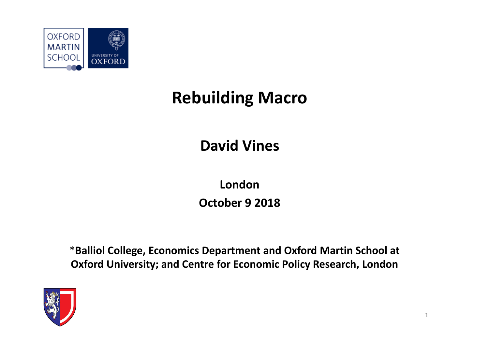

# **Rebuilding Macro**

### **David Vines**

**London October 9 2018**

\***Balliol College, Economics Department and Oxford Martin School at Oxford University; and Centre for Economic Policy Research, London**

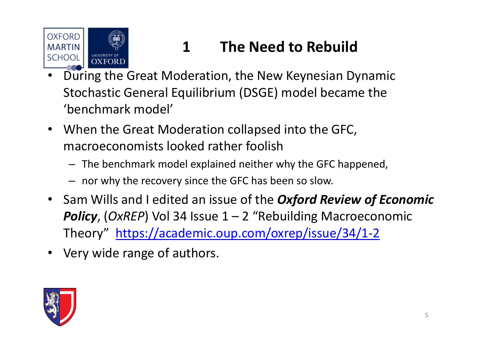

# **1 The Need to Rebuild**

- • During the Great Moderation, the New Keynesian Dynamic Stochastic General Equilibrium (DSGE) model became the 'benchmark model'
- When the Great Moderation collapsed into the GFC, macroeconomists looked rather foolish
	- The benchmark model explained neither why the GFC happened,
	- nor why the recovery since the GFC has been so slow.
- Sam Wills and I edited an issue of the *Oxford Review of Economic Policy*, (*OxREP*) Vol 34 Issue 1 – 2 "Rebuilding Macroeconomic Theory" https://academic.oup.com/oxrep/issue/34/1‐2
- $\bullet$ Very wide range of authors.

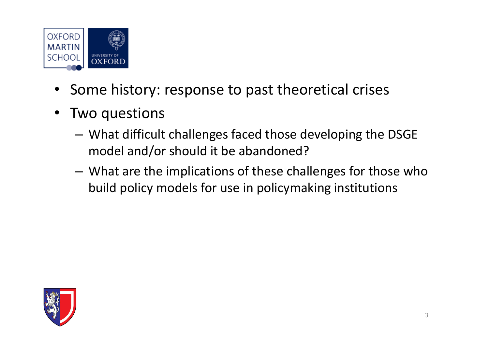

- Some history: response to past theoretical crises
- • Two questions
	- – What difficult challenges faced those developing the DSGE model and/or should it be abandoned?
	- – What are the implications of these challenges for those who build policy models for use in policymaking institutions

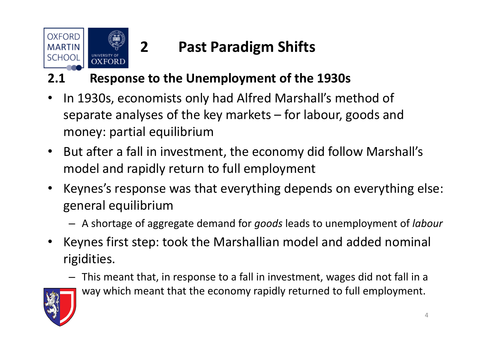

# **2 Past Paradigm Shifts**

#### **2.1 Response to the Unemployment of the 1930s**

- •• In 1930s, economists only had Alfred Marshall's method of separate analyses of the key markets – for labour, goods and money: partial equilibrium
- $\bullet$  But after <sup>a</sup> fall in investment, the economy did follow Marshall's model and rapidly return to full employment
- • Keynes's response was that everything depends on everything else: general equilibrium
	- A shortage of aggregate demand for *goods* leads to unemployment of *labour*
- $\bullet$  Keynes first step: took the Marshallian model and added nominal rigidities.
	- – This meant that, in response to <sup>a</sup> fall in investment, wages did not fall in <sup>a</sup> way which meant that the economy rapidly returned to full employment.

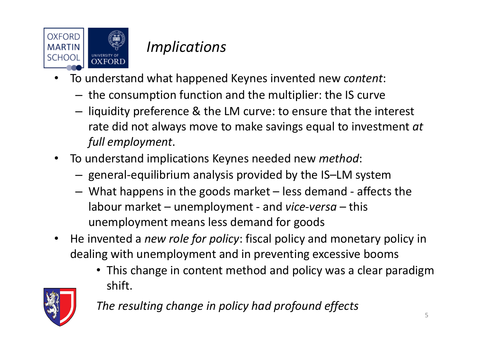

### *Implications*

- • To understand what happened Keynes invented new *content*:
	- $-$  the consumption function and the multiplier: the IS curve
	- $-$  liquidity preference & the LM curve: to ensure that the interest rate did not always move to make savings equal to investment *at full employment*.
- • To understand implications Keynes needed new *method*:
	- general‐equilibrium analysis provided by the IS–LM system
	- What happens in the goods market less demand ‐ affects the labour market – unemployment ‐ and *vice‐versa* – this unemployment means less demand for goods
- $\bullet$  He invented a *new role for policy*: fiscal policy and monetary policy in dealing with unemployment and in preventing excessive booms
	- This change in content method and policy was <sup>a</sup> clear paradigm shift.



*The resulting change in policy had profound effects*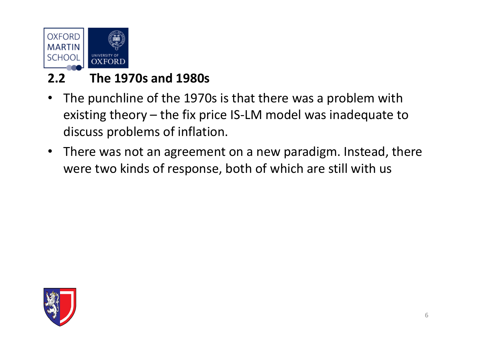

#### **2.2 The 1970s and 1980s**

- • The punchline of the 1970s is that there was <sup>a</sup> problem with existing theory – the fix price IS‐LM model was inadequate to discuss problems of inflation.
- $\bullet$  There was not an agreement on <sup>a</sup> new paradigm. Instead, there were two kinds of response, both of which are still with us

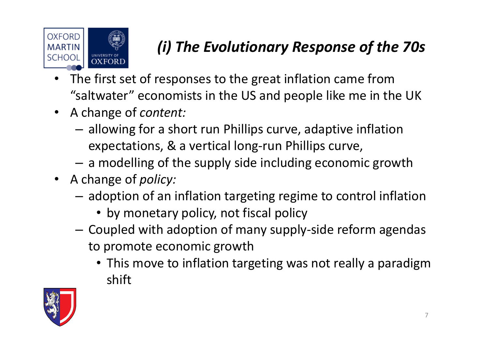

# *(i) The Evolutionary Response of the 70s*

- • The first set of responses to the great inflation came from "saltwater" economists in the US and people like me in the UK
- A change of *content:*
	- – allowing for <sup>a</sup> short run Phillips curve, adaptive inflation expectations, & <sup>a</sup> vertical long‐run Phillips curve,
	- – $-$  a modelling of the supply side including economic growth
- A change of *policy:*
	- – $-$  adoption of an inflation targeting regime to control inflation
		- by monetary policy, not fiscal policy
	- – Coupled with adoption of many supply‐side reform agendas to promote economic growth
		- This move to inflation targeting was not really <sup>a</sup> paradigm shift

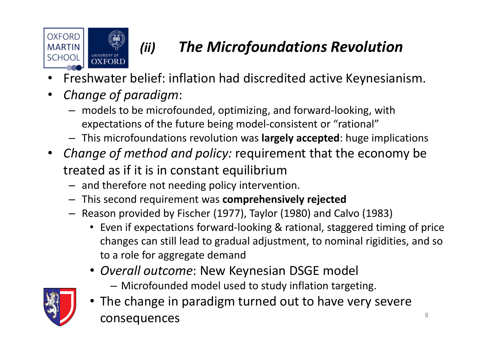



# *(ii) The Microfoundations Revolution*

- •Freshwater belief: inflation had discredited active Keynesianism.
- $\bullet$  *Change of paradigm*:
	- models to be microfounded, optimizing, and forward‐looking, with expectations of the future being model‐consistent or "rational"
	- This microfoundations revolution was **largely accepted**: huge implications
- *Change of method and policy:* requirement that the economy be treated as if it is in constant equilibrium
	- and therefore not needing policy intervention.
	- This second requirement was **comprehensively rejected**
	- Reason provided by Fischer (1977), Taylor (1980) and Calvo (1983)
		- Even if expectations forward‐looking & rational, staggered timing of price changes can still lead to gradual adjustment, to nominal rigidities, and so to <sup>a</sup> role for aggregate demand
		- *Overall outcome*: New Keynesian DSGE model
			- Microfounded model used to study inflation targeting.



• The change in paradigm turned out to have very severe consequences and the set of  $\frac{8}{3}$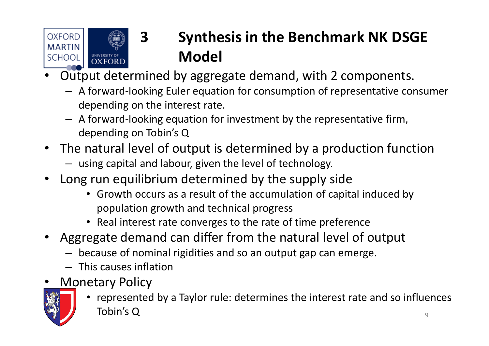

# **3 Synthesis in the Benchmark NK DSGE Model**

- • Output determined by aggregate demand, with 2 components.
	- A forward‐looking Euler equation for consumption of representative consumer depending on the interest rate.
	- A forward‐looking equation for investment by the representative firm, depending on Tobin's Q
- The natural level of output is determined by <sup>a</sup> production function
	- using capital and labour, given the level of technology.
- Long run equilibrium determined by the supply side
	- Growth occurs as <sup>a</sup> result of the accumulation of capital induced by population growth and technical progress
	- Real interest rate converges to the rate of time preference
- Aggregate demand can differ from the natural level of output
	- because of nominal rigidities and so an output gap can emerge.
	- This causes inflation
- •Monetary Policy



• represented by <sup>a</sup> Taylor rule: determines the interest rate and so influences Tobin's $\overline{\mathsf{S}}$  Q  $\overline{\mathsf{S}}$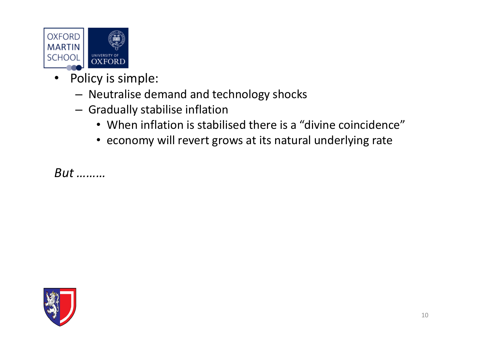

- $\bullet$  Policy is simple:
	- Neutralise demand and technology shocks
	- Gradually stabilise inflation
		- When inflation is stabilised there is <sup>a</sup> "divine coincidence"
		- economy will revert grows at its natural underlying rate

*But ………*

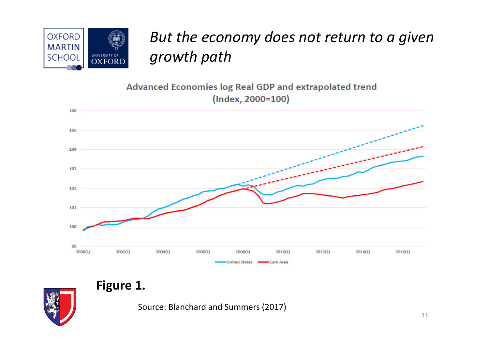

## *But the economy does not return to <sup>a</sup> given growth path*

Advanced Economies log Real GDP and extrapolated trend (Index, 2000=100)





**Figure 1.**

Source: Blanchard and Summers (2017)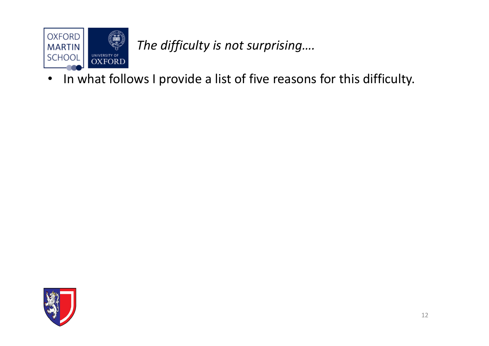

*The difficulty is not surprising….*

•• In what follows I provide a list of five reasons for this difficulty.

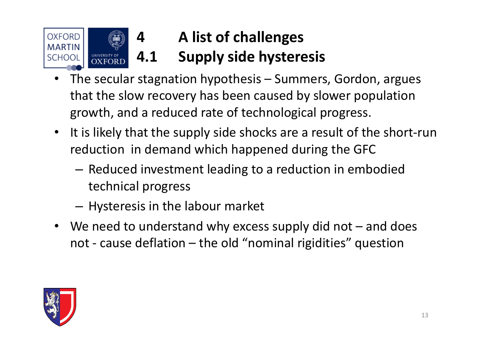

# **A list of challenges 4.1 Supply side hysteresis**

- • The secular stagnation hypothesis – Summers, Gordon, argues that the slow recovery has been caused by slower population growth, and <sup>a</sup> reduced rate of technological progress.
- It is likely that the supply side shocks are <sup>a</sup> result of the short‐run reduction in demand which happened during the GFC
	- – $-$  Reduced investment leading to a reduction in embodied technical progress
	- – $-$  Hysteresis in the labour market
- We need to understand why excess supply did not and does not ‐ cause deflation – the old "nominal rigidities" question

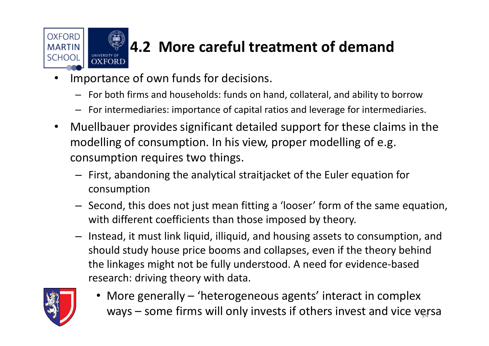

# **4.2 More careful treatment of demand**

- • Importance of own funds for decisions.
	- For both firms and households: funds on hand, collateral, and ability to borrow
	- For intermediaries: importance of capital ratios and leverage for intermediaries.
- • Muellbauer provides significant detailed support for these claims in the modelling of consumption. In his view, proper modelling of e.g. consumption requires two things.
	- First, abandoning the analytical straitjacket of the Euler equation for consumption
	- Second, this does not just mean fitting <sup>a</sup> 'looser' form of the same equation, with different coefficients than those imposed by theory.
	- Instead, it must link liquid, illiquid, and housing assets to consumption, and should study house price booms and collapses, even if the theory behind the linkages might not be fully understood. A need for evidence‐based research: driving theory with data.



• More generally – 'heterogeneous agents' interact in complex ways – some firms will only invests if others invest and vice versa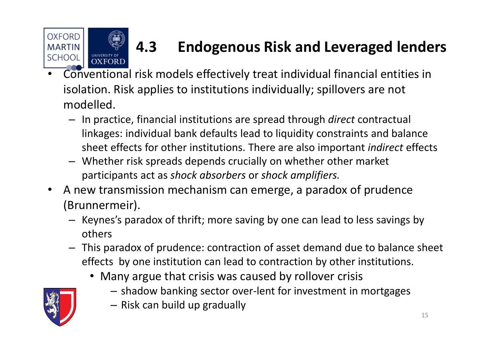

# **4.3 Endogenous Risk and Leveraged lenders**

- • Conventional risk models effectively treat individual financial entities in isolation. Risk applies to institutions individually; spillovers are not modelled.
	- In practice, financial institutions are spread through *direct* contractual linkages: individual bank defaults lead to liquidity constraints and balance sheet effects for other institutions. There are also important *indirect* effects
	- Whether risk spreads depends crucially on whether other market participants act as *shock absorbers* or *shock amplifiers.*
- $\bullet$  A new transmission mechanism can emerge, <sup>a</sup> paradox of prudence (Brunnermeir).
	- Keynes's paradox of thrift; more saving by one can lead to less savings by others
	- This paradox of prudence: contraction of asset demand due to balance sheet effects by one institution can lead to contraction by other institutions.
		- Many argue that crisis was caused by rollover crisis
			- shadow banking sector over‐lent for investment in mortgages

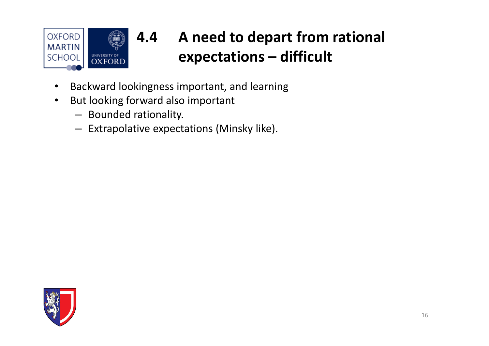

#### **4.4 A need to depart from rational expectations – difficult**

- •Backward lookingness important, and learning
- • But looking forward also important
	- Bounded rationality.
	- Extrapolative expectations (Minsky like).

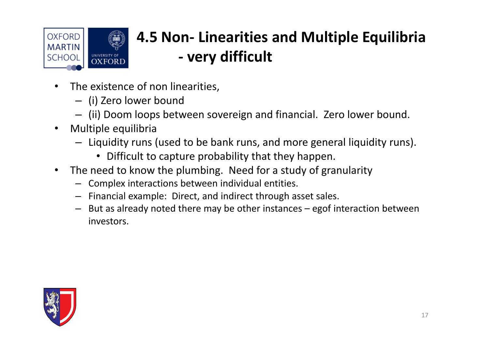

#### **4.5 Non‐ Linearities and Multiple Equilibria ‐very difficult**

- •• The existence of non linearities,
	- (i) Zero lower bound
	- (ii) Doom loops between sovereign and financial. Zero lower bound.
- $\bullet$  Multiple equilibria
	- Liquidity runs (used to be bank runs, and more general liquidity runs).
		- Difficult to capture probability that they happen.
- $\bullet$  The need to know the plumbing. Need for <sup>a</sup> study of granularity
	- Complex interactions between individual entities.
	- Financial example: Direct, and indirect through asset sales.
	- But as already noted there may be other instances egof interaction between investors.

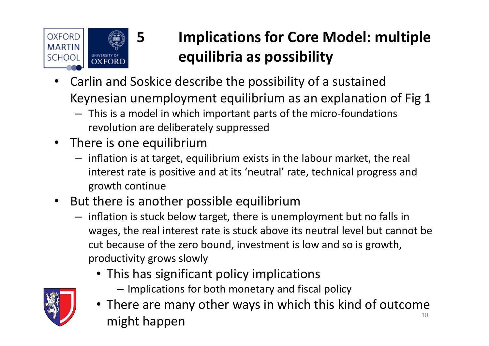

# **5 Implications for Core Model: multiple equilibria as possibility**

- • Carlin and Soskice describe the possibility of <sup>a</sup> sustained Keynesian unemployment equilibrium as an explanation of Fig 1
	- This is <sup>a</sup> model in which important parts of the micro‐foundations revolution are deliberately suppressed
- There is one equilibrium
	- inflation is at target, equilibrium exists in the labour market, the real interest rate is positive and at its 'neutral' rate, technical progress and growth continue
- $\bullet$ • But there is another possible equilibrium
	- inflation is stuck below target, there is unemployment but no falls in wages, the real interest rate is stuck above its neutral level but cannot be cut because of the zero bound, investment is low and so is growth, productivity grows slowly
		- This has significant policy implications
			- Implications for both monetary and fiscal policy



• There are many other ways in which this kind of outcome might happen and the state of the state  $\frac{18}{18}$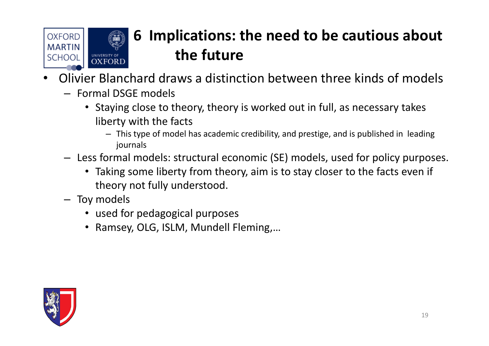

# **6 Implications: the need to be cautious about the future**

- • Olivier Blanchard draws <sup>a</sup> distinction between three kinds of models
	- Formal DSGE models
		- Staying close to theory, theory is worked out in full, as necessary takes liberty with the facts
			- This type of model has academic credibility, and prestige, and is published in leading journals
	- Less formal models: structural economic (SE) models, used for policy purposes.
		- Taking some liberty from theory, aim is to stay closer to the facts even if theory not fully understood.
	- Toy models
		- used for pedagogical purposes
		- Ramsey, OLG, ISLM, Mundell Fleming,…

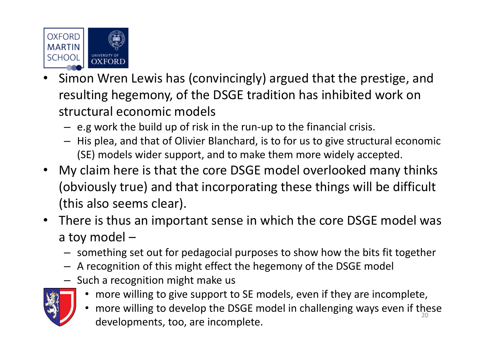

- •• Simon Wren Lewis has (convincingly) argued that the prestige, and resulting hegemony, of the DSGE tradition has inhibited work on structural economic models
	- e.g work the build up of risk in the run‐up to the financial crisis.
	- His plea, and that of Olivier Blanchard, is to for us to give structural economic (SE) models wider support, and to make them more widely accepted.
- My claim here is that the core DSGE model overlooked many thinks (obviously true) and that incorporating these things will be difficult (this also seems clear).
- There is thus an important sense in which the core DSGE model was a toy model –
	- something set out for pedagocial purposes to show how the bits fit together
	- A recognition of this might effect the hegemony of the DSGE model
	- Such <sup>a</sup> recognition might make us



- more willing to give support to SE models, even if they are incomplete,
- •• more willing to develop the DSGE model in challenging ways even if these developments, too, are incomplete.